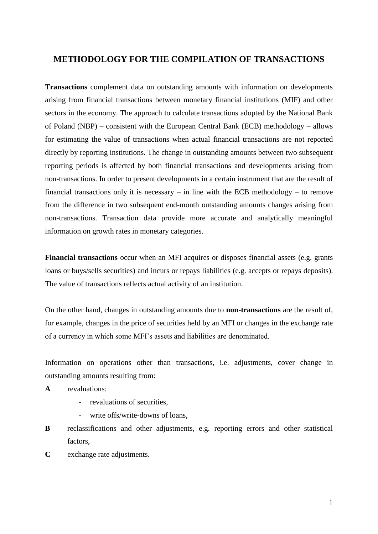# **METHODOLOGY FOR THE COMPILATION OF TRANSACTIONS**

**Transactions** complement data on outstanding amounts with information on developments arising from financial transactions between monetary financial institutions (MIF) and other sectors in the economy. The approach to calculate transactions adopted by the National Bank of Poland (NBP) – consistent with the European Central Bank (ECB) methodology – allows for estimating the value of transactions when actual financial transactions are not reported directly by reporting institutions. The change in outstanding amounts between two subsequent reporting periods is affected by both financial transactions and developments arising from non-transactions. In order to present developments in a certain instrument that are the result of financial transactions only it is necessary – in line with the ECB methodology – to remove from the difference in two subsequent end-month outstanding amounts changes arising from non-transactions. Transaction data provide more accurate and analytically meaningful information on growth rates in monetary categories.

**Financial transactions** occur when an MFI acquires or disposes financial assets (e.g. grants loans or buys/sells securities) and incurs or repays liabilities (e.g. accepts or repays deposits). The value of transactions reflects actual activity of an institution.

On the other hand, changes in outstanding amounts due to **non-transactions** are the result of, for example, changes in the price of securities held by an MFI or changes in the exchange rate of a currency in which some MFI's assets and liabilities are denominated.

Information on operations other than transactions, i.e. adjustments, cover change in outstanding amounts resulting from:

- **A** revaluations:
	- revaluations of securities,
	- write offs/write-downs of loans.
- **B** reclassifications and other adjustments, e.g. reporting errors and other statistical factors,
- **C** exchange rate adjustments.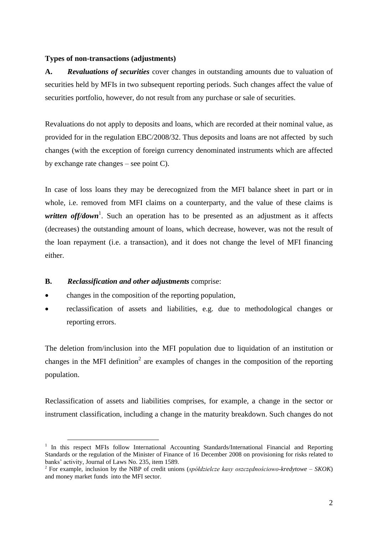## **Types of non-transactions (adjustments)**

**A.** *Revaluations of securities* cover changes in outstanding amounts due to valuation of securities held by MFIs in two subsequent reporting periods. Such changes affect the value of securities portfolio, however, do not result from any purchase or sale of securities.

Revaluations do not apply to deposits and loans, which are recorded at their nominal value, as provided for in the regulation EBC/2008/32. Thus deposits and loans are not affected by such changes (with the exception of foreign currency denominated instruments which are affected by exchange rate changes – see point C).

In case of loss loans they may be derecognized from the MFI balance sheet in part or in whole, i.e. removed from MFI claims on a counterparty, and the value of these claims is written off/down<sup>1</sup>. Such an operation has to be presented as an adjustment as it affects (decreases) the outstanding amount of loans, which decrease, however, was not the result of the loan repayment (i.e. a transaction), and it does not change the level of MFI financing either.

## **B.** *Reclassification and other adjustments* comprise:

 $\overline{a}$ 

- changes in the composition of the reporting population,
- reclassification of assets and liabilities, e.g. due to methodological changes or reporting errors.

The deletion from/inclusion into the MFI population due to liquidation of an institution or changes in the MFI definition<sup>2</sup> are examples of changes in the composition of the reporting population.

Reclassification of assets and liabilities comprises, for example, a change in the sector or instrument classification, including a change in the maturity breakdown. Such changes do not

<sup>&</sup>lt;sup>1</sup> In this respect MFIs follow International Accounting Standards/International Financial and Reporting Standards or the regulation of the Minister of Finance of 16 December 2008 on provisioning for risks related to banks' activity, Journal of Laws No. 235, item 1589.

<sup>2</sup> For example, inclusion by the NBP of credit unions (*spółdzielcze kasy oszczędnościowo-kredytowe – SKOK*) and money market funds into the MFI sector.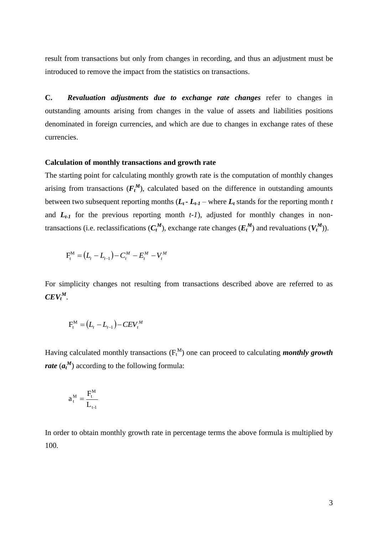result from transactions but only from changes in recording, and thus an adjustment must be introduced to remove the impact from the statistics on transactions.

**C.** *Revaluation adjustments due to exchange rate changes* refer to changes in outstanding amounts arising from changes in the value of assets and liabilities positions denominated in foreign currencies, and which are due to changes in exchange rates of these currencies.

#### **Calculation of monthly transactions and growth rate**

The starting point for calculating monthly growth rate is the computation of monthly changes arising from transactions  $(F_t^M)$ , calculated based on the difference in outstanding amounts between two subsequent reporting months  $(L_t - L_{t-1} - \text{where } L_t \text{ stands for the reporting month } t$ and  $L_{t-1}$  for the previous reporting month  $t-1$ ), adjusted for monthly changes in nontransactions (i.e. reclassifications  $(C_t^M)$ , exchange rate changes  $(E_t^M)$  and revaluations  $(V_t^M)$ ).

$$
F_t^M = (L_t - L_{t-1}) - C_t^M - E_t^M - V_t^M
$$

For simplicity changes not resulting from transactions described above are referred to as  $CEV_t^M$ .

$$
F_t^M = (L_t - L_{t-1}) - CEV_t^M
$$

Having calculated monthly transactions ( $F_t^M$ ) one can proceed to calculating *monthly growth rate* (*a<sup>t</sup> M* ) according to the following formula:

$$
a_\mathfrak{t}^{\mathbf{M}}=\frac{F_\mathfrak{t}^{\mathbf{M}}}{L_{\mathfrak{t} \text{-} \mathbf{l}}}
$$

In order to obtain monthly growth rate in percentage terms the above formula is multiplied by 100.